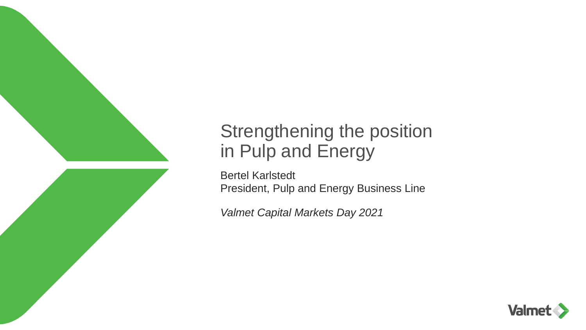

# Strengthening the position in Pulp and Energy

Bertel Karlstedt President, Pulp and Energy Business Line

*Valmet Capital Markets Day 2021*

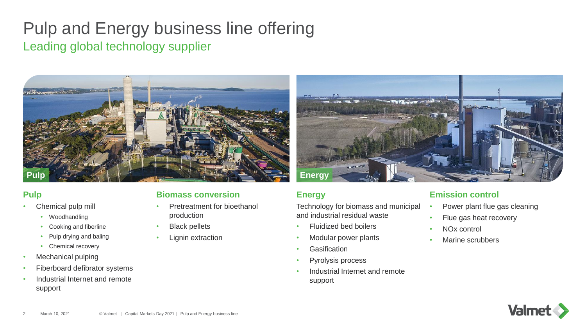# Pulp and Energy business line offering Leading global technology supplier



### **Pulp**

- Chemical pulp mill
	- Woodhandling
	- Cooking and fiberline
	- Pulp drying and baling
	- Chemical recovery
- **Mechanical pulping**
- Fiberboard defibrator systems
- Industrial Internet and remote support

#### **Biomass conversion**

- Pretreatment for bioethanol production
- Black pellets
- **Lignin extraction**



### **Energy**

Technology for biomass and municipal and industrial residual waste

- Fluidized bed boilers
- Modular power plants
- **Gasification**
- Pyrolysis process
- Industrial Internet and remote support

### **Emission control**

- Power plant flue gas cleaning
- Flue gas heat recovery
- NOx control
- Marine scrubbers

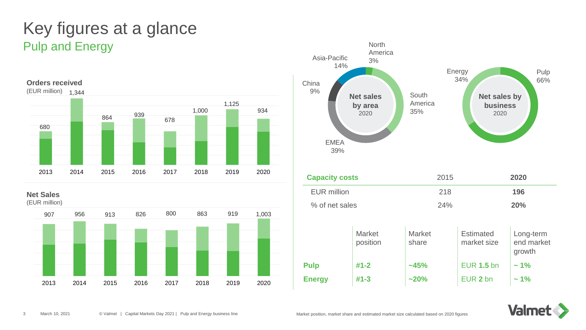# Pulp and Energy Key figures at a glance



**Net Sales**





| <b>Capacity costs</b> | 2015 | 2020 |
|-----------------------|------|------|
| EUR million           | 218  | 196  |
| % of net sales        | 24%  | 20%  |

|               | <b>Market</b><br>position | <b>Market</b><br>share | <b>Estimated</b><br>market size | Long-term<br>end market<br>growth |
|---------------|---------------------------|------------------------|---------------------------------|-----------------------------------|
| <b>Pulp</b>   | $#1 - 2$                  | ~145%                  | <b>EUR 1.5 bn</b>               | $\sim$ 1%                         |
| <b>Energy</b> | $#1 - 3$                  | $~20\%$                | EUR 2 bn                        | $\sim$ 1%                         |

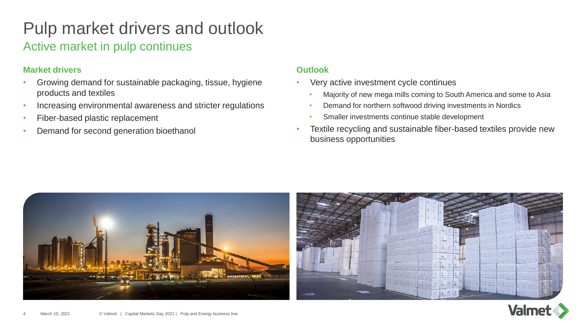# Pulp market drivers and outlook

### Active market in pulp continues

### **Market drivers**

- Growing demand for sustainable packaging, tissue, hygiene products and textiles
- Increasing environmental awareness and stricter regulations
- Fiber-based plastic replacement
- Demand for second generation bioethanol

### **Outlook**

- Very active investment cycle continues
	- Majority of new mega mills coming to South America and some to Asia
	- Demand for northern softwood driving investments in Nordics
	- Smaller investments continue stable development
- Textile recycling and sustainable fiber-based textiles provide new business opportunities





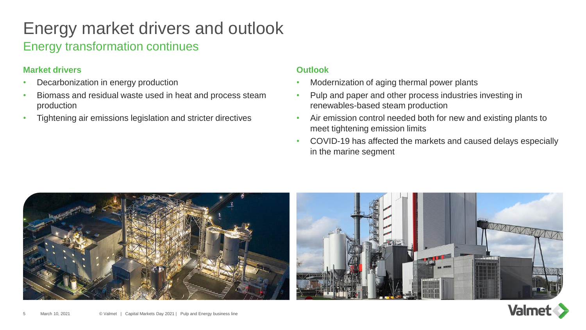# Energy market drivers and outlook

### Energy transformation continues

### **Market drivers**

- Decarbonization in energy production
- Biomass and residual waste used in heat and process steam production
- Tightening air emissions legislation and stricter directives

#### **Outlook**

- Modernization of aging thermal power plants
- Pulp and paper and other process industries investing in renewables-based steam production
- Air emission control needed both for new and existing plants to meet tightening emission limits
- COVID-19 has affected the markets and caused delays especially in the marine segment





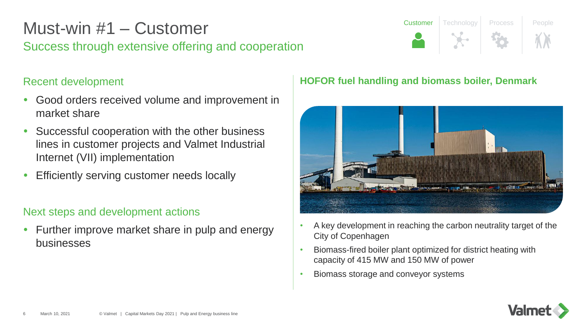## Success through extensive offering and cooperation Must-win #1 – Customer

### Recent development

- Good orders received volume and improvement in market share
- Successful cooperation with the other business lines in customer projects and Valmet Industrial Internet (VII) implementation
- Efficiently serving customer needs locally

### Next steps and development actions

 Further improve market share in pulp and energy businesses

# **Customer** Technology Process People

### **HOFOR fuel handling and biomass boiler, Denmark**



- A key development in reaching the carbon neutrality target of the City of Copenhagen
- Biomass-fired boiler plant optimized for district heating with capacity of 415 MW and 150 MW of power
- Biomass storage and conveyor systems

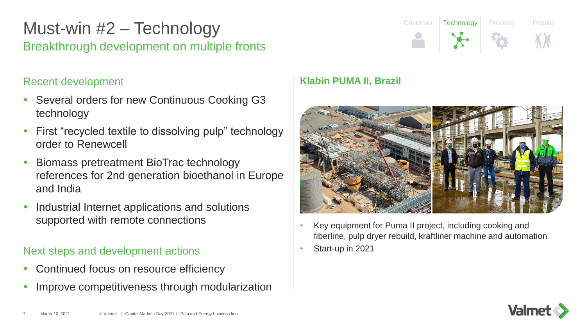# Breakthrough development on multiple fronts Must-win #2 – Technology

### Recent development

- Several orders for new Continuous Cooking G3 technology
- First "recycled textile to dissolving pulp" technology order to Renewcell
- Biomass pretreatment BioTrac technology references for 2nd generation bioethanol in Europe and India
- Industrial Internet applications and solutions supported with remote connections

### Next steps and development actions

- Continued focus on resource efficiency
- Improve competitiveness through modularization

### **Klabin PUMA II, Brazil**



Customer | Technology | Process | People

- Key equipment for Puma II project, including cooking and fiberline, pulp dryer rebuild, kraftliner machine and automation
- Start-up in 2021

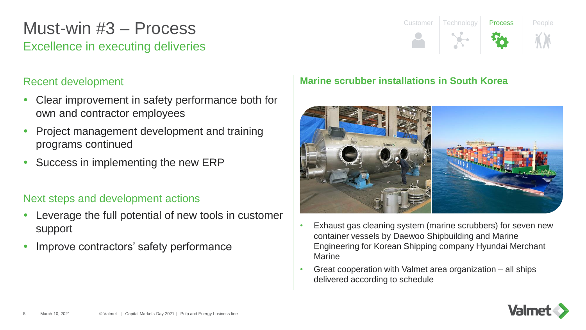## Excellence in executing deliveries Must-win #3 – Process

### Recent development

- Clear improvement in safety performance both for own and contractor employees
- Project management development and training programs continued
- Success in implementing the new ERP

### Next steps and development actions

- Leverage the full potential of new tools in customer support
- Improve contractors' safety performance

# Customer Technology Process People

### **Marine scrubber installations in South Korea**



- Exhaust gas cleaning system (marine scrubbers) for seven new container vessels by Daewoo Shipbuilding and Marine Engineering for Korean Shipping company Hyundai Merchant Marine
- Great cooperation with Valmet area organization all ships delivered according to schedule

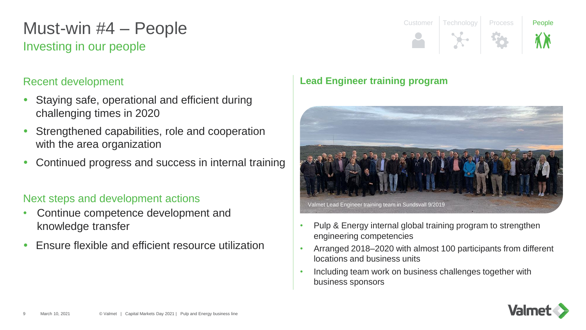# Investing in our people Must-win #4 – People

### Recent development

- Staying safe, operational and efficient during challenging times in 2020
- Strengthened capabilities, role and cooperation with the area organization
- Continued progress and success in internal training

### Next steps and development actions

- Continue competence development and knowledge transfer
- Ensure flexible and efficient resource utilization

# Customer Technology Process **People**

### **Lead Engineer training program**



- Pulp & Energy internal global training program to strengthen engineering competencies
- Arranged 2018–2020 with almost 100 participants from different locations and business units
- Including team work on business challenges together with business sponsors